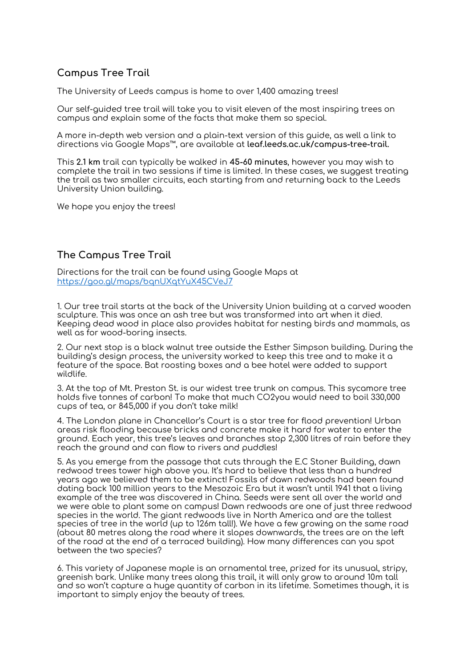## **Campus Tree Trail**

The University of Leeds campus is home to over 1,400 amazing trees!

Our self-guided tree trail will take you to visit eleven of the most inspiring trees on campus and explain some of the facts that make them so special.

A more in-depth web version and a plain-text version of this guide, as well a link to directions via Google Maps™, are available at **leaf.leeds.ac.uk/campus-tree-trail.**

This **2.1 km** trail can typically be walked in **45-60 minutes**, however you may wish to complete the trail in two sessions if time is limited. In these cases, we suggest treating the trail as two smaller circuits, each starting from and returning back to the Leeds University Union building.

We hope you enjoy the trees!

## **The Campus Tree Trail**

Directions for the trail can be found using Google Maps at <https://goo.gl/maps/bqnUXqtYuX45CVeJ7>

1. Our tree trail starts at the back of the University Union building at a carved wooden sculpture. This was once an ash tree but was transformed into art when it died. Keeping dead wood in place also provides habitat for nesting birds and mammals, as well as for wood-boring insects.

2. Our next stop is a black walnut tree outside the Esther Simpson building. During the building's design process, the university worked to keep this tree and to make it a feature of the space. Bat roosting boxes and a bee hotel were added to support wildlife.

3. At the top of Mt. Preston St. is our widest tree trunk on campus. This sycamore tree holds five tonnes of carbon! To make that much CO2you would need to boil 330,000 cups of tea, or 845,000 if you don't take milk!

4. The London plane in Chancellor's Court is a star tree for flood prevention! Urban areas risk flooding because bricks and concrete make it hard for water to enter the ground. Each year, this tree's leaves and branches stop 2,300 litres of rain before they reach the ground and can flow to rivers and puddles!

5. As you emerge from the passage that cuts through the E.C Stoner Building, dawn redwood trees tower high above you. It's hard to believe that less than a hundred years ago we believed them to be extinct! Fossils of dawn redwoods had been found dating back 100 million years to the Mesozoic Era but it wasn't until 1941 that a living example of the tree was discovered in China. Seeds were sent all over the world and we were able to plant some on campus! Dawn redwoods are one of just three redwood species in the world. The giant redwoods live in North America and are the tallest species of tree in the world (up to 126m tall!). We have a few growing on the same road (about 80 metres along the road where it slopes downwards, the trees are on the left of the road at the end of a terraced building). How many differences can you spot between the two species?

6. This variety of Japanese maple is an ornamental tree, prized for its unusual, stripy, greenish bark. Unlike many trees along this trail, it will only grow to around 10m tall and so won't capture a huge quantity of carbon in its lifetime. Sometimes though, it is important to simply enjoy the beauty of trees.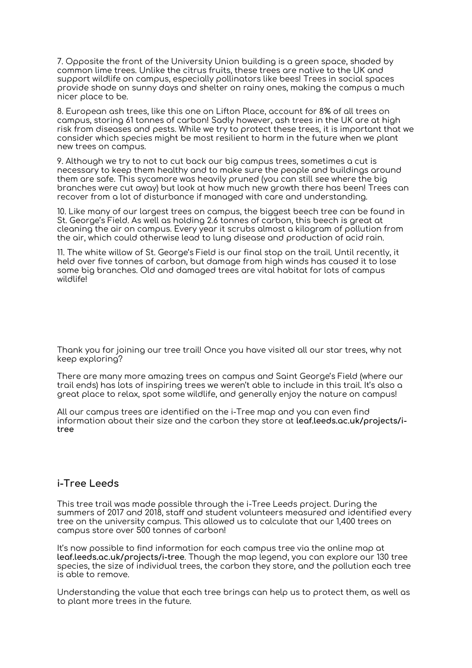7. Opposite the front of the University Union building is a green space, shaded by common lime trees. Unlike the citrus fruits, these trees are native to the UK and support wildlife on campus, especially pollinators like bees! Trees in social spaces provide shade on sunny days and shelter on rainy ones, making the campus a much nicer place to be.

8. European ash trees, like this one on Lifton Place, account for 8% of all trees on campus, storing 61 tonnes of carbon! Sadly however, ash trees in the UK are at high risk from diseases and pests. While we try to protect these trees, it is important that we consider which species might be most resilient to harm in the future when we plant new trees on campus.

9. Although we try to not to cut back our big campus trees, sometimes a cut is necessary to keep them healthy and to make sure the people and buildings around them are safe. This sycamore was heavily pruned (you can still see where the big branches were cut away) but look at how much new growth there has been! Trees can recover from a lot of disturbance if managed with care and understanding.

10. Like many of our largest trees on campus, the biggest beech tree can be found in St. George's Field. As well as holding 2.6 tonnes of carbon, this beech is great at cleaning the air on campus. Every year it scrubs almost a kilogram of pollution from the air, which could otherwise lead to lung disease and production of acid rain.

11. The white willow of St. George's Field is our final stop on the trail. Until recently, it held over five tonnes of carbon, but damage from high winds has caused it to lose some big branches. Old and damaged trees are vital habitat for lots of campus wildlife!

Thank you for joining our tree trail! Once you have visited all our star trees, why not keep exploring?

There are many more amazing trees on campus and Saint George's Field (where our trail ends) has lots of inspiring trees we weren't able to include in this trail. It's also a great place to relax, spot some wildlife, and generally enjoy the nature on campus!

All our campus trees are identified on the i-Tree map and you can even find information about their size and the carbon they store at **leaf.leeds.ac.uk/projects/itree**

## **i-Tree Leeds**

This tree trail was made possible through the i-Tree Leeds project. During the summers of 2017 and 2018, staff and student volunteers measured and identified every tree on the university campus. This allowed us to calculate that our 1,400 trees on campus store over 500 tonnes of carbon!

It's now possible to find information for each campus tree via the online map at **leaf.leeds.ac.uk/projects/i-tree**. Though the map legend, you can explore our 130 tree species, the size of individual trees, the carbon they store, and the pollution each tree is able to remove.

Understanding the value that each tree brings can help us to protect them, as well as to plant more trees in the future.